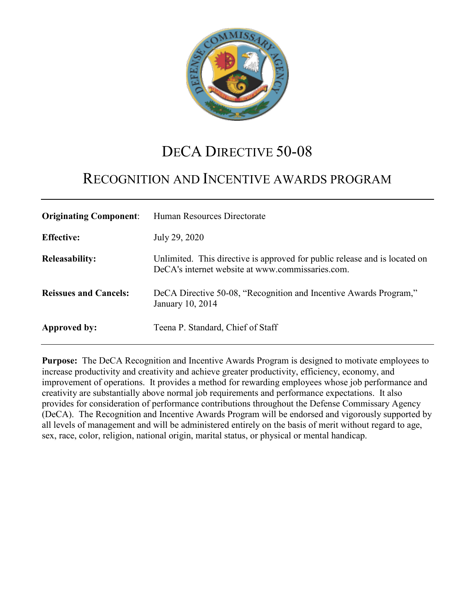

# DECA DIRECTIVE 50-08

# RECOGNITION AND INCENTIVE AWARDS PROGRAM

| <b>Originating Component:</b> | Human Resources Directorate                                                                                                    |
|-------------------------------|--------------------------------------------------------------------------------------------------------------------------------|
| <b>Effective:</b>             | July 29, 2020                                                                                                                  |
| <b>Releasability:</b>         | Unlimited. This directive is approved for public release and is located on<br>DeCA's internet website at www.commissaries.com. |
| <b>Reissues and Cancels:</b>  | DeCA Directive 50-08, "Recognition and Incentive Awards Program,"<br>January 10, 2014                                          |
| Approved by:                  | Teena P. Standard, Chief of Staff                                                                                              |

**Purpose:** The DeCA Recognition and Incentive Awards Program is designed to motivate employees to increase productivity and creativity and achieve greater productivity, efficiency, economy, and improvement of operations. It provides a method for rewarding employees whose job performance and creativity are substantially above normal job requirements and performance expectations. It also provides for consideration of performance contributions throughout the Defense Commissary Agency (DeCA). The Recognition and Incentive Awards Program will be endorsed and vigorously supported by all levels of management and will be administered entirely on the basis of merit without regard to age, sex, race, color, religion, national origin, marital status, or physical or mental handicap.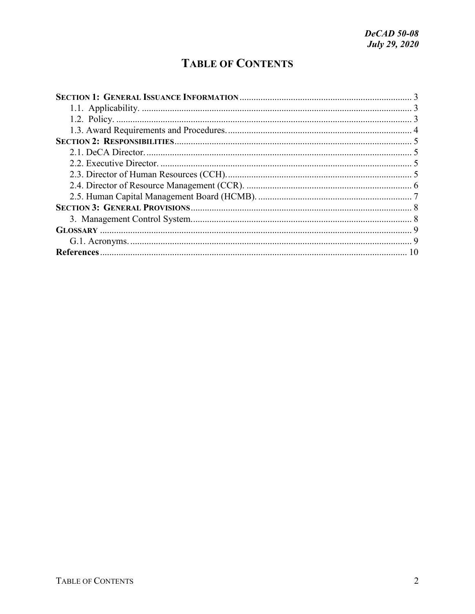# **TABLE OF CONTENTS**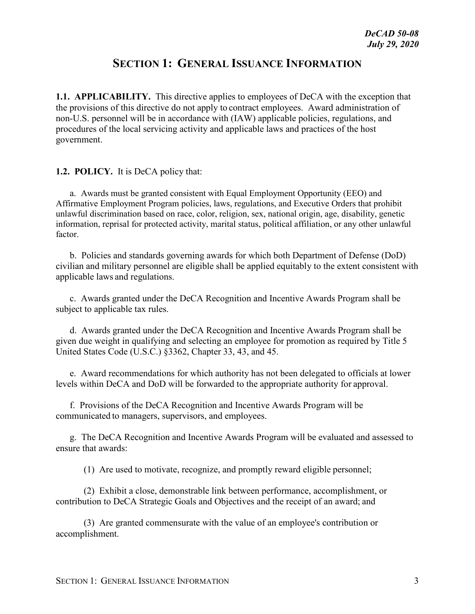## **SECTION 1: GENERAL ISSUANCE INFORMATION**

<span id="page-2-1"></span><span id="page-2-0"></span>**1.1. APPLICABILITY.** This directive applies to employees of DeCA with the exception that the provisions of this directive do not apply to contract employees. Award administration of non-U.S. personnel will be in accordance with (IAW) applicable policies, regulations, and procedures of the local servicing activity and applicable laws and practices of the host government.

<span id="page-2-2"></span>**1.2. POLICY.** It is DeCA policy that:

a. Awards must be granted consistent with Equal Employment Opportunity (EEO) and Affirmative Employment Program policies, laws, regulations, and Executive Orders that prohibit unlawful discrimination based on race, color, religion, sex, national origin, age, disability, genetic information, reprisal for protected activity, marital status, political affiliation, or any other unlawful factor.

b. Policies and standards governing awards for which both Department of Defense (DoD) civilian and military personnel are eligible shall be applied equitably to the extent consistent with applicable laws and regulations.

c. Awards granted under the DeCA Recognition and Incentive Awards Program shall be subject to applicable tax rules.

d. Awards granted under the DeCA Recognition and Incentive Awards Program shall be given due weight in qualifying and selecting an employee for promotion as required by Title 5 United States Code (U.S.C.) §3362, Chapter 33, 43, and 45.

e. Award recommendations for which authority has not been delegated to officials at lower levels within DeCA and DoD will be forwarded to the appropriate authority for approval.

f. Provisions of the DeCA Recognition and Incentive Awards Program will be communicated to managers, supervisors, and employees.

g. The DeCA Recognition and Incentive Awards Program will be evaluated and assessed to ensure that awards:

(1) Are used to motivate, recognize, and promptly reward eligible personnel;

(2) Exhibit a close, demonstrable link between performance, accomplishment, or contribution to DeCA Strategic Goals and Objectives and the receipt of an award; and

(3) Are granted commensurate with the value of an employee's contribution or accomplishment.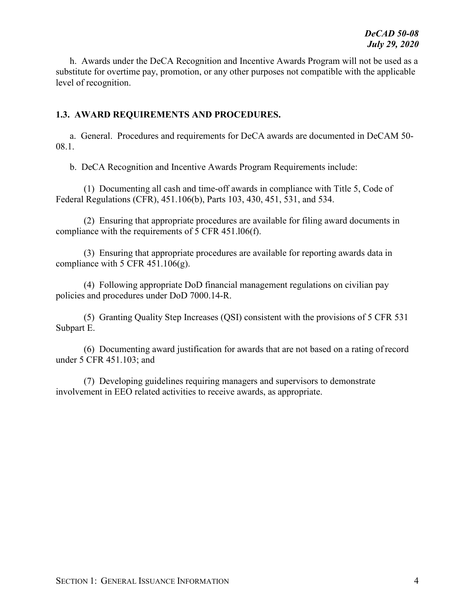h. Awards under the DeCA Recognition and Incentive Awards Program will not be used as a substitute for overtime pay, promotion, or any other purposes not compatible with the applicable level of recognition.

#### <span id="page-3-0"></span>**1.3. AWARD REQUIREMENTS AND PROCEDURES.**

a. General. Procedures and requirements for DeCA awards are documented in DeCAM 50- 08.1.

b. DeCA Recognition and Incentive Awards Program Requirements include:

(1) Documenting all cash and time-off awards in compliance with Title 5, Code of Federal Regulations (CFR), 451.106(b), Parts 103, 430, 451, 531, and 534.

(2) Ensuring that appropriate procedures are available for filing award documents in compliance with the requirements of 5 CFR 451.l06(f).

(3) Ensuring that appropriate procedures are available for reporting awards data in compliance with 5 CFR  $451.106(g)$ .

(4) Following appropriate DoD financial management regulations on civilian pay policies and procedures under DoD 7000.14-R.

(5) Granting Quality Step Increases (QSI) consistent with the provisions of 5 CFR 531 Subpart E.

(6) Documenting award justification for awards that are not based on a rating of record under 5 CFR 451.103; and

(7) Developing guidelines requiring managers and supervisors to demonstrate involvement in EEO related activities to receive awards, as appropriate.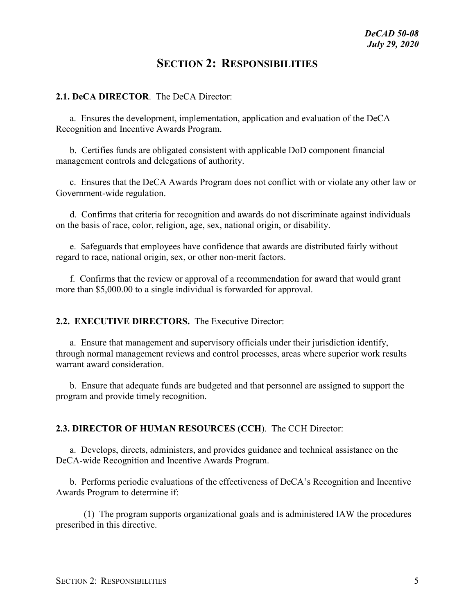### **SECTION 2: RESPONSIBILITIES**

#### <span id="page-4-1"></span><span id="page-4-0"></span>**2.1. DeCA DIRECTOR**. The DeCA Director:

a. Ensures the development, implementation, application and evaluation of the DeCA Recognition and Incentive Awards Program.

b. Certifies funds are obligated consistent with applicable DoD component financial management controls and delegations of authority.

c. Ensures that the DeCA Awards Program does not conflict with or violate any other law or Government-wide regulation.

d. Confirms that criteria for recognition and awards do not discriminate against individuals on the basis of race, color, religion, age, sex, national origin, or disability.

e. Safeguards that employees have confidence that awards are distributed fairly without regard to race, national origin, sex, or other non-merit factors.

f. Confirms that the review or approval of a recommendation for award that would grant more than \$5,000.00 to a single individual is forwarded for approval.

#### <span id="page-4-2"></span>**2.2. EXECUTIVE DIRECTORS.** The Executive Director:

a. Ensure that management and supervisory officials under their jurisdiction identify, through normal management reviews and control processes, areas where superior work results warrant award consideration.

b. Ensure that adequate funds are budgeted and that personnel are assigned to support the program and provide timely recognition.

#### <span id="page-4-3"></span>**2.3. DIRECTOR OF HUMAN RESOURCES (CCH**). The CCH Director:

a. Develops, directs, administers, and provides guidance and technical assistance on the DeCA-wide Recognition and Incentive Awards Program.

b. Performs periodic evaluations of the effectiveness of DeCA's Recognition and Incentive Awards Program to determine if:

(1) The program supports organizational goals and is administered IAW the procedures prescribed in this directive.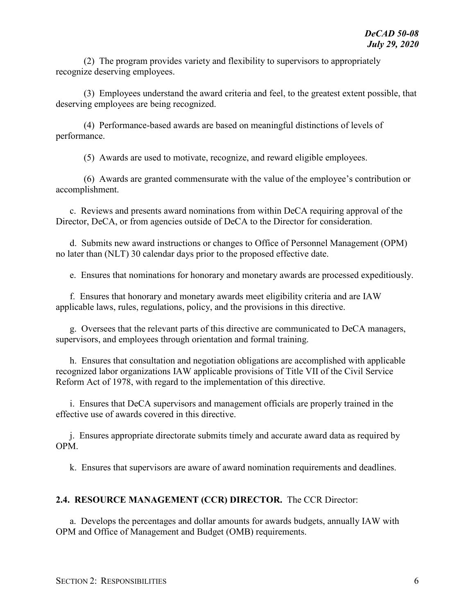(2) The program provides variety and flexibility to supervisors to appropriately recognize deserving employees.

(3) Employees understand the award criteria and feel, to the greatest extent possible, that deserving employees are being recognized.

(4) Performance-based awards are based on meaningful distinctions of levels of performance.

(5) Awards are used to motivate, recognize, and reward eligible employees.

(6) Awards are granted commensurate with the value of the employee's contribution or accomplishment.

c. Reviews and presents award nominations from within DeCA requiring approval of the Director, DeCA, or from agencies outside of DeCA to the Director for consideration.

d. Submits new award instructions or changes to Office of Personnel Management (OPM) no later than (NLT) 30 calendar days prior to the proposed effective date.

e. Ensures that nominations for honorary and monetary awards are processed expeditiously.

f. Ensures that honorary and monetary awards meet eligibility criteria and are IAW applicable laws, rules, regulations, policy, and the provisions in this directive.

g. Oversees that the relevant parts of this directive are communicated to DeCA managers, supervisors, and employees through orientation and formal training.

h. Ensures that consultation and negotiation obligations are accomplished with applicable recognized labor organizations IAW applicable provisions of Title VII of the Civil Service Reform Act of 1978, with regard to the implementation of this directive.

i. Ensures that DeCA supervisors and management officials are properly trained in the effective use of awards covered in this directive.

j. Ensures appropriate directorate submits timely and accurate award data as required by OPM.

k. Ensures that supervisors are aware of award nomination requirements and deadlines.

### <span id="page-5-0"></span>**2.4. RESOURCE MANAGEMENT (CCR) DIRECTOR.** The CCR Director:

a. Develops the percentages and dollar amounts for awards budgets, annually IAW with OPM and Office of Management and Budget (OMB) requirements.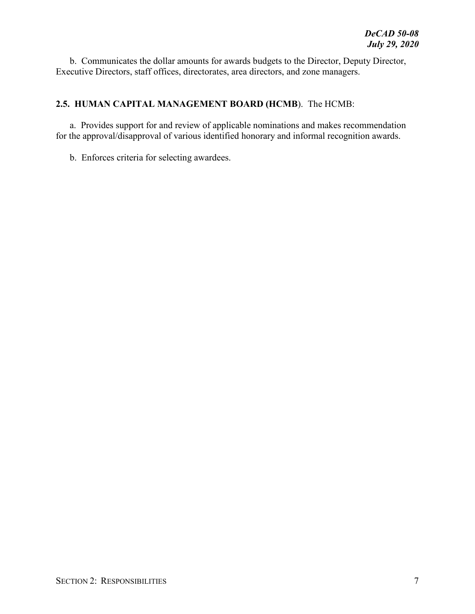b. Communicates the dollar amounts for awards budgets to the Director, Deputy Director, Executive Directors, staff offices, directorates, area directors, and zone managers.

### <span id="page-6-0"></span>**2.5. HUMAN CAPITAL MANAGEMENT BOARD (HCMB**). The HCMB:

a. Provides support for and review of applicable nominations and makes recommendation for the approval/disapproval of various identified honorary and informal recognition awards.

b. Enforces criteria for selecting awardees.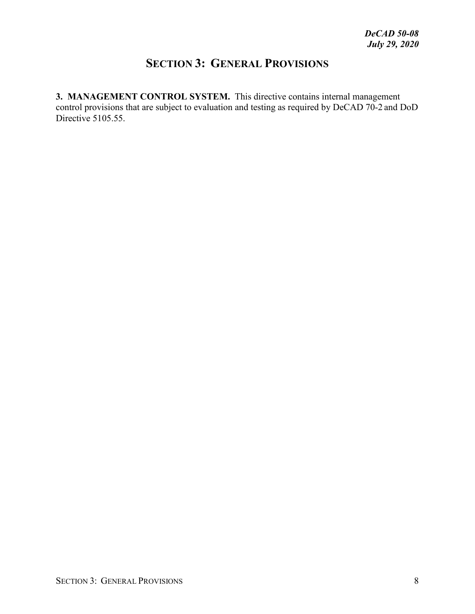# **SECTION 3: GENERAL PROVISIONS**

<span id="page-7-1"></span><span id="page-7-0"></span>**3. MANAGEMENT CONTROL SYSTEM.** This directive contains internal management control provisions that are subject to evaluation and testing as required by DeCAD 70-2 and DoD Directive 5105.55.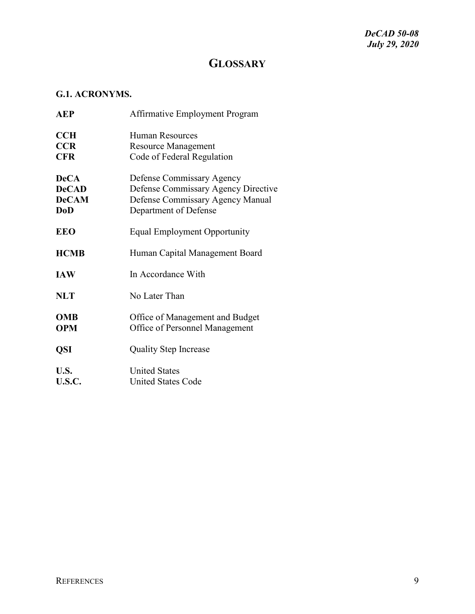# **GLOSSARY**

### <span id="page-8-1"></span><span id="page-8-0"></span>**G.1. ACRONYMS.**

| <b>AEP</b>                                                | Affirmative Employment Program                                                                                                |
|-----------------------------------------------------------|-------------------------------------------------------------------------------------------------------------------------------|
| <b>CCH</b><br><b>CCR</b><br><b>CFR</b>                    | Human Resources<br><b>Resource Management</b><br>Code of Federal Regulation                                                   |
| <b>DeCA</b><br><b>DeCAD</b><br><b>DeCAM</b><br><b>DoD</b> | Defense Commissary Agency<br>Defense Commissary Agency Directive<br>Defense Commissary Agency Manual<br>Department of Defense |
| <b>EEO</b>                                                | <b>Equal Employment Opportunity</b>                                                                                           |
| <b>HCMB</b>                                               | Human Capital Management Board                                                                                                |
| <b>IAW</b>                                                | In Accordance With                                                                                                            |
| <b>NLT</b>                                                | No Later Than                                                                                                                 |
| <b>OMB</b><br><b>OPM</b>                                  | Office of Management and Budget<br>Office of Personnel Management                                                             |
| <b>QSI</b>                                                | <b>Quality Step Increase</b>                                                                                                  |
| U.S.<br>U.S.C.                                            | <b>United States</b><br><b>United States Code</b>                                                                             |